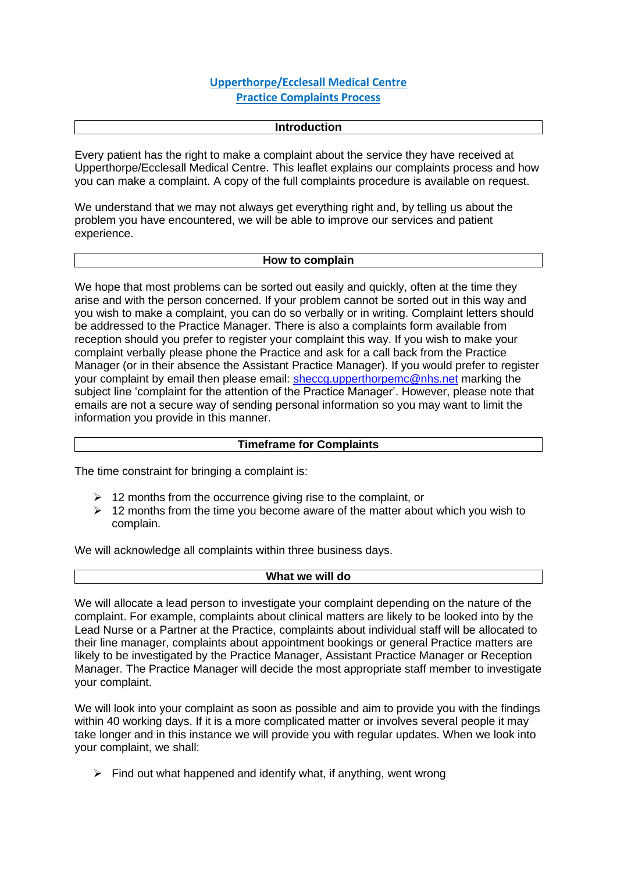# **Upperthorpe/Ecclesall Medical Centre Practice Complaints Process**

## **Introduction**

Every patient has the right to make a complaint about the service they have received at Upperthorpe/Ecclesall Medical Centre. This leaflet explains our complaints process and how you can make a complaint. A copy of the full complaints procedure is available on request.

We understand that we may not always get everything right and, by telling us about the problem you have encountered, we will be able to improve our services and patient experience.

#### **How to complain**

We hope that most problems can be sorted out easily and quickly, often at the time they arise and with the person concerned. If your problem cannot be sorted out in this way and you wish to make a complaint, you can do so verbally or in writing. Complaint letters should be addressed to the Practice Manager. There is also a complaints form available from reception should you prefer to register your complaint this way. If you wish to make your complaint verbally please phone the Practice and ask for a call back from the Practice Manager (or in their absence the Assistant Practice Manager). If you would prefer to register your complaint by email then please email: [sheccg.upperthorpemc@nhs.net](mailto:sheccg.upperthorpemc@nhs.net) marking the subject line 'complaint for the attention of the Practice Manager'. However, please note that emails are not a secure way of sending personal information so you may want to limit the information you provide in this manner.

#### **Timeframe for Complaints**

The time constraint for bringing a complaint is:

- $\geq 12$  months from the occurrence giving rise to the complaint, or
- $\geq 12$  months from the time you become aware of the matter about which you wish to complain.

We will acknowledge all complaints within three business days.

#### **What we will do**

We will allocate a lead person to investigate your complaint depending on the nature of the complaint. For example, complaints about clinical matters are likely to be looked into by the Lead Nurse or a Partner at the Practice, complaints about individual staff will be allocated to their line manager, complaints about appointment bookings or general Practice matters are likely to be investigated by the Practice Manager, Assistant Practice Manager or Reception Manager. The Practice Manager will decide the most appropriate staff member to investigate your complaint.

We will look into your complaint as soon as possible and aim to provide you with the findings within 40 working days. If it is a more complicated matter or involves several people it may take longer and in this instance we will provide you with regular updates. When we look into your complaint, we shall:

 $\triangleright$  Find out what happened and identify what, if anything, went wrong